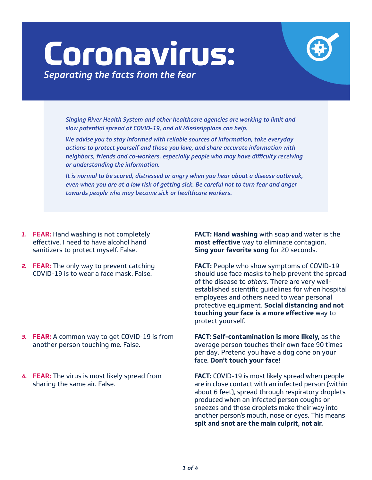## **Coronavirus:** *Separating the facts from the fear*

*Singing River Health System and other healthcare agencies are working to limit and slow potential spread of COVID-19, and all Mississippians can help.* 

*We advise you to stay informed with reliable sources of information, take everyday actions to protect yourself and those you love, and share accurate information with neighbors, friends and co-workers, especially people who may have difficulty receiving or understanding the information.*

*It is normal to be scared, distressed or angry when you hear about a disease outbreak, even when you are at a low risk of getting sick. Be careful not to turn fear and anger towards people who may become sick or healthcare workers.* 

- *1.* **FEAR:** Hand washing is not completely effective. I need to have alcohol hand sanitizers to protect myself. False.
- *2.* **FEAR:** The only way to prevent catching COVID-19 is to wear a face mask. False.

*3.* **FEAR:** A common way to get COVID-19 is from another person touching me. False.

*4.* **FEAR:** The virus is most likely spread from sharing the same air. False.

**FACT: Hand washing** with soap and water is the **most effective** way to eliminate contagion. **Sing your favorite song** for 20 seconds.

**FACT:** People who show symptoms of COVID-19 should use face masks to help prevent the spread of the disease to *others*. There are very wellestablished scientific guidelines for when hospital employees and others need to wear personal protective equipment. **Social distancing and not touching your face is a more effective** way to protect yourself.

**FACT: Self-contamination is more likely,** as the average person touches their own face 90 times per day. Pretend you have a dog cone on your face. **Don't touch your face!**

**FACT:** COVID-19 is most likely spread when people are in close contact with an infected person (within about 6 feet), spread through respiratory droplets produced when an infected person coughs or sneezes and those droplets make their way into another person's mouth, nose or eyes. This means **spit and snot are the main culprit, not air.**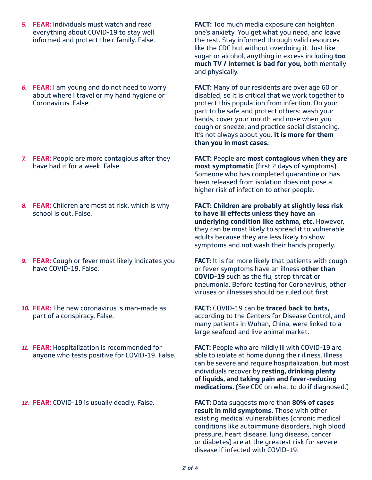- *5.* **FEAR:** Individuals must watch and read everything about COVID-19 to stay well informed and protect their family. False.
- *6.* **FEAR:** I am young and do not need to worry about where I travel or my hand hygiene or Coronavirus. False.

- *7.* **FEAR:** People are more contagious after they have had it for a week. False.
- *8.* **FEAR:** Children are most at risk, which is why school is out. False.
- *9.* **FEAR:** Cough or fever most likely indicates you have COVID-19. False.
- *10.* **FEAR:** The new coronavirus is man-made as part of a conspiracy. False.
- *11.* **FEAR:** Hospitalization is recommended for anyone who tests positive for COVID-19. False.

*12.* **FEAR:** COVID-19 is usually deadly. False.

**FACT:** Too much media exposure can heighten one's anxiety. You get what you need, and leave the rest. Stay informed through valid resources like the CDC but without overdoing it. Just like sugar or alcohol, anything in excess including **too much TV / Internet is bad for you,** both mentally and physically.

**FACT:** Many of our residents are over age 60 or disabled, so it is critical that we work together to protect this population from infection. Do your part to be safe and protect others: wash your hands, cover your mouth and nose when you cough or sneeze, and practice social distancing. It's not always about you. **It is more for them than you in most cases.**

**FACT:** People are **most contagious when they are most symptomatic** (first 2 days of symptoms). Someone who has completed quarantine or has been released from isolation does not pose a higher risk of infection to other people.

**FACT: Children are probably at slightly less risk to have ill effects unless they have an underlying condition like asthma, etc.** However, they can be most likely to spread it to vulnerable adults because they are less likely to show symptoms and not wash their hands properly.

**FACT:** It is far more likely that patients with cough or fever symptoms have an illness **other than COVID-19** such as the flu, strep throat or pneumonia. Before testing for Coronavirus, other viruses or illnesses should be ruled out first.

**FACT:** COVID-19 can be **traced back to bats,** according to the Centers for Disease Control, and many patients in Wuhan, China, were linked to a large seafood and live animal market.

**FACT:** People who are mildly ill with COVID-19 are able to isolate at home during their illness. Illness can be severe and require hospitalization, but most individuals recover by **resting, drinking plenty of liquids, and taking pain and fever-reducing medications.** (See CDC on what to do if diagnosed.)

**FACT:** Data suggests more than **80% of cases result in mild symptoms.** Those with other existing medical vulnerabilities (chronic medical conditions like autoimmune disorders, high blood pressure, heart disease, lung disease, cancer or diabetes) are at the greatest risk for severe disease if infected with COVID-19.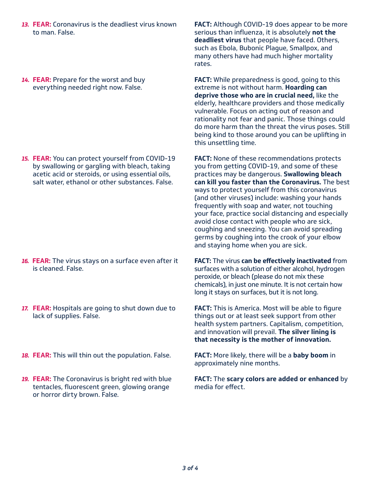- *13.* **FEAR:** Coronavirus is the deadliest virus known to man. False.
- *14.* **FEAR:** Prepare for the worst and buy everything needed right now. False.

*15.* **FEAR:** You can protect yourself from COVID-19 by swallowing or gargling with bleach, taking acetic acid or steroids, or using essential oils, salt water, ethanol or other substances. False.

- *16.* **FEAR:** The virus stays on a surface even after it is cleaned. False.
- *17.* **FEAR:** Hospitals are going to shut down due to lack of supplies. False.
- *18.* **FEAR:** This will thin out the population. False.
- *19.* **FEAR:** The Coronavirus is bright red with blue tentacles, fluorescent green, glowing orange or horror dirty brown. False.

**FACT:** Although COVID-19 does appear to be more serious than influenza, it is absolutely **not the deadliest virus** that people have faced. Others, such as Ebola, Bubonic Plague, Smallpox, and many others have had much higher mortality rates.

**FACT:** While preparedness is good, going to this extreme is not without harm. **Hoarding can deprive those who are in crucial need,** like the elderly, healthcare providers and those medically vulnerable. Focus on acting out of reason and rationality not fear and panic. Those things could do more harm than the threat the virus poses. Still being kind to those around you can be uplifting in this unsettling time.

**FACT:** None of these recommendations protects you from getting COVID-19, and some of these practices may be dangerous. **Swallowing bleach can kill you faster than the Coronavirus.** The best ways to protect yourself from this coronavirus (and other viruses) include: washing your hands frequently with soap and water, not touching your face, practice social distancing and especially avoid close contact with people who are sick, coughing and sneezing. You can avoid spreading germs by coughing into the crook of your elbow and staying home when you are sick.

**FACT:** The virus **can be effectively inactivated** from surfaces with a solution of either alcohol, hydrogen

peroxide, or bleach (please do not mix these chemicals), in just one minute. It is not certain how long it stays on surfaces, but it is not long.

**FACT:** This is America. Most will be able to figure things out or at least seek support from other health system partners. Capitalism, competition, and innovation will prevail. **The silver lining is that necessity is the mother of innovation.**

**FACT:** More likely, there will be a **baby boom** in approximately nine months.

**FACT:** The **scary colors are added or enhanced** by media for effect.